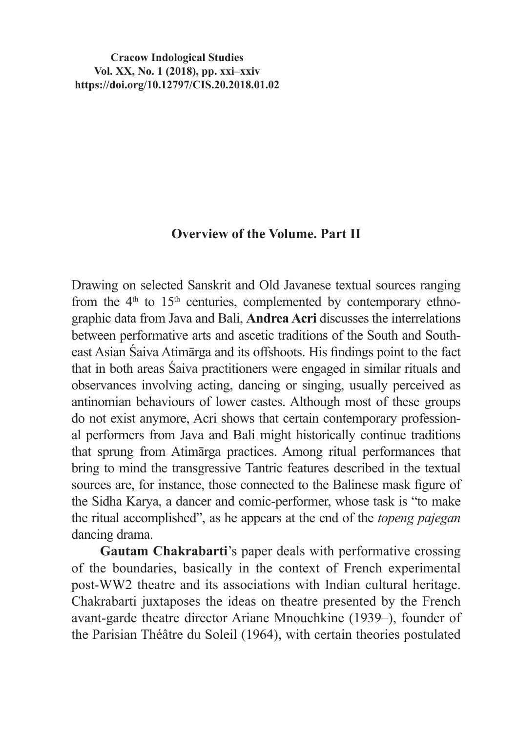**Cracow Indological Studies Vol. XX, No. 1 (2018), pp. xxi–xxiv https://doi.org/10.12797/CIS.20.2018.01.02**

## **Overview of the Volume. Part II**

Drawing on selected Sanskrit and Old Javanese textual sources ranging from the  $4<sup>th</sup>$  to  $15<sup>th</sup>$  centuries, complemented by contemporary ethnographic data from Java and Bali, **Andrea Acri** discusses the interrelations between performative arts and ascetic traditions of the South and Southeast Asian Śaiva Atimārga and its offshoots. His findings point to the fact that in both areas Śaiva practitioners were engaged in similar rituals and observances involving acting, dancing or singing, usually perceived as antinomian behaviours of lower castes. Although most of these groups do not exist anymore, Acri shows that certain contemporary professional performers from Java and Bali might historically continue traditions that sprung from Atimārga practices. Among ritual performances that bring to mind the transgressive Tantric features described in the textual sources are, for instance, those connected to the Balinese mask figure of the Sidha Karya, a dancer and comic-performer, whose task is "to make the ritual accomplished", as he appears at the end of the *topeng pajegan* dancing drama.

**Gautam Chakrabarti**'s paper deals with performative crossing of the boundaries, basically in the context of French experimental post-WW2 theatre and its associations with Indian cultural heritage. Chakrabarti juxtaposes the ideas on theatre presented by the French avant-garde theatre director Ariane Mnouchkine (1939–), founder of the Parisian Théâtre du Soleil (1964), with certain theories postulated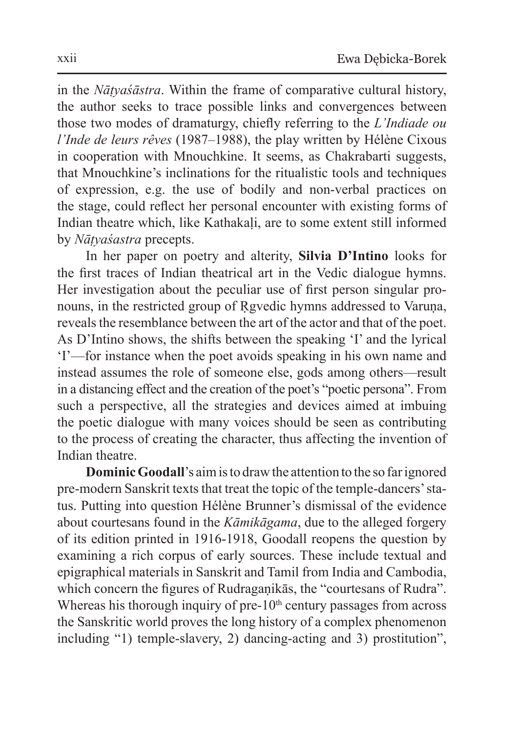in the *Nāṭyaśāstra*. Within the frame of comparative cultural history, the author seeks to trace possible links and convergences between those two modes of dramaturgy, chiefly referring to the *L'Indiade ou l'Inde de leurs rêves* (1987–1988), the play written by Hélène Cixous in cooperation with Mnouchkine. It seems, as Chakrabarti suggests, that Mnouchkine's inclinations for the ritualistic tools and techniques of expression, e.g. the use of bodily and non-verbal practices on the stage, could reflect her personal encounter with existing forms of Indian theatre which, like Kathakaḷi, are to some extent still informed by *Nāṭyaśastra* precepts.

In her paper on poetry and alterity, **Silvia D'Intino** looks for the first traces of Indian theatrical art in the Vedic dialogue hymns. Her investigation about the peculiar use of first person singular pronouns, in the restricted group of Ṛgvedic hymns addressed to Varuṇa, reveals the resemblance between the art of the actor and that of the poet. As D'Intino shows, the shifts between the speaking 'I' and the lyrical 'I'—for instance when the poet avoids speaking in his own name and instead assumes the role of someone else, gods among others—result in a distancing effect and the creation of the poet's "poetic persona". From such a perspective, all the strategies and devices aimed at imbuing the poetic dialogue with many voices should be seen as contributing to the process of creating the character, thus affecting the invention of Indian theatre.

**Dominic Goodall**'s aim is to draw the attention to the so far ignored pre-modern Sanskrit texts that treat the topic of the temple-dancers' status. Putting into question Hélène Brunner's dismissal of the evidence about courtesans found in the *Kāmikāgama*, due to the alleged forgery of its edition printed in 1916-1918, Goodall reopens the question by examining a rich corpus of early sources. These include textual and epigraphical materials in Sanskrit and Tamil from India and Cambodia, which concern the figures of Rudraganikās, the "courtesans of Rudra". Whereas his thorough inquiry of  $pre-10<sup>th</sup>$  century passages from across the Sanskritic world proves the long history of a complex phenomenon including "1) temple-slavery, 2) dancing-acting and 3) prostitution",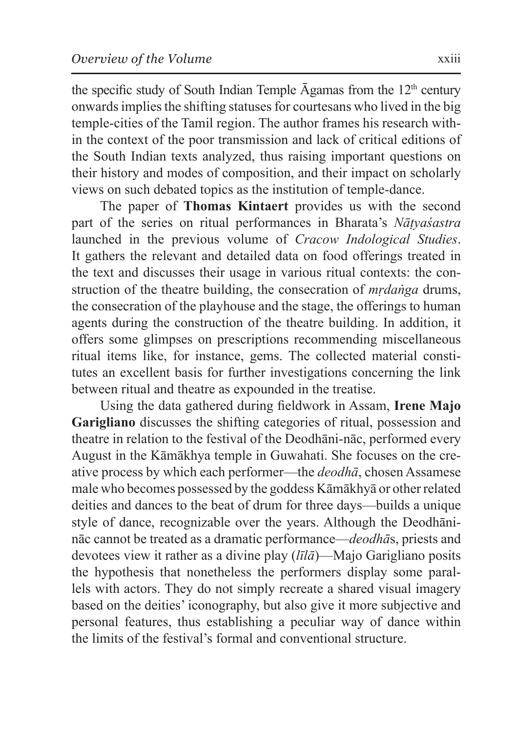the specific study of South Indian Temple  $\bar{A}$ gamas from the 12<sup>th</sup> century onwards implies the shifting statuses for courtesans who lived in the big temple-cities of the Tamil region. The author frames his research within the context of the poor transmission and lack of critical editions of the South Indian texts analyzed, thus raising important questions on their history and modes of composition, and their impact on scholarly views on such debated topics as the institution of temple-dance.

The paper of **Thomas Kintaert** provides us with the second part of the series on ritual performances in Bharata's *Nāṭyaśastra*  launched in the previous volume of *Cracow Indological Studies*. It gathers the relevant and detailed data on food offerings treated in the text and discusses their usage in various ritual contexts: the construction of the theatre building, the consecration of *mṛdaṅga* drums, the consecration of the playhouse and the stage, the offerings to human agents during the construction of the theatre building. In addition, it offers some glimpses on prescriptions recommending miscellaneous ritual items like, for instance, gems. The collected material constitutes an excellent basis for further investigations concerning the link between ritual and theatre as expounded in the treatise.

Using the data gathered during fieldwork in Assam, **Irene Majo Garigliano** discusses the shifting categories of ritual, possession and theatre in relation to the festival of the Deodhāni-nāc, performed every August in the Kāmākhya temple in Guwahati. She focuses on the creative process by which each performer—the *deodhā*, chosen Assamese male who becomes possessed by the goddess Kāmākhyā or other related deities and dances to the beat of drum for three days—builds a unique style of dance, recognizable over the years. Although the Deodhānināc cannot be treated as a dramatic performance—*deodhā*s, priests and devotees view it rather as a divine play (*līlā*)—Majo Garigliano posits the hypothesis that nonetheless the performers display some parallels with actors. They do not simply recreate a shared visual imagery based on the deities' iconography, but also give it more subjective and personal features, thus establishing a peculiar way of dance within the limits of the festival's formal and conventional structure.